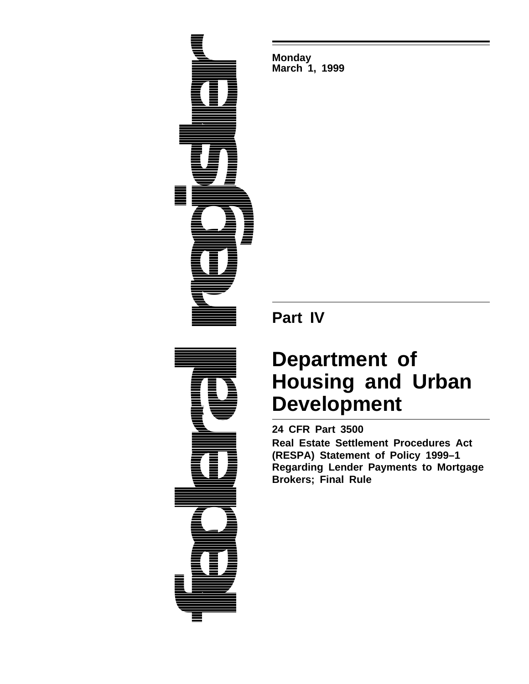

**Monday March 1, 1999**

**Part IV**

# **Department of Housing and Urban Development**

**24 CFR Part 3500**

**Real Estate Settlement Procedures Act (RESPA) Statement of Policy 1999–1 Regarding Lender Payments to Mortgage Brokers; Final Rule**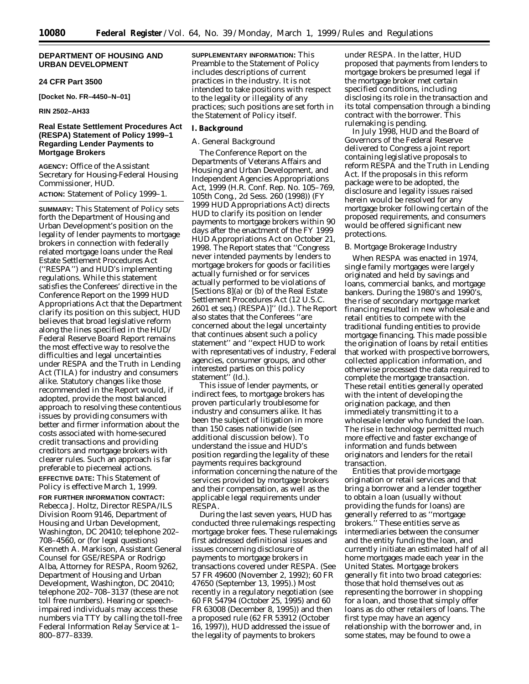# **DEPARTMENT OF HOUSING AND URBAN DEVELOPMENT**

#### **24 CFR Part 3500**

**[Docket No. FR–4450–N–01]**

**RIN 2502–AH33**

# **Real Estate Settlement Procedures Act (RESPA) Statement of Policy 1999–1 Regarding Lender Payments to Mortgage Brokers**

**AGENCY:** Office of the Assistant Secretary for Housing-Federal Housing Commissioner, HUD.

**ACTION:** Statement of Policy 1999–1.

**SUMMARY:** This Statement of Policy sets forth the Department of Housing and Urban Development's position on the legality of lender payments to mortgage brokers in connection with federally related mortgage loans under the Real Estate Settlement Procedures Act (''RESPA'') and HUD's implementing regulations. While this statement satisfies the Conferees' directive in the Conference Report on the 1999 HUD Appropriations Act that the Department clarify its position on this subject, HUD believes that broad legislative reform along the lines specified in the HUD/ Federal Reserve Board Report remains the most effective way to resolve the difficulties and legal uncertainties under RESPA and the Truth in Lending Act (TILA) for industry and consumers alike. Statutory changes like those recommended in the Report would, if adopted, provide the most balanced approach to resolving these contentious issues by providing consumers with better and firmer information about the costs associated with home-secured credit transactions and providing creditors and mortgage brokers with clearer rules. Such an approach is far preferable to piecemeal actions. **EFFECTIVE DATE:** This Statement of Policy is effective March 1, 1999. **FOR FURTHER INFORMATION CONTACT:** Rebecca J. Holtz, Director RESPA/ILS Division Room 9146, Department of Housing and Urban Development, Washington, DC 20410; telephone 202– 708–4560, or (for legal questions) Kenneth A. Markison, Assistant General Counsel for GSE/RESPA or Rodrigo Alba, Attorney for RESPA, Room 9262, Department of Housing and Urban Development, Washington, DC 20410; telephone 202–708–3137 (these are not toll free numbers). Hearing or speechimpaired individuals may access these numbers via TTY by calling the toll-free Federal Information Relay Service at 1– 800–877–8339.

**SUPPLEMENTARY INFORMATION:** This Preamble to the Statement of Policy includes descriptions of current practices in the industry. It is not intended to take positions with respect to the legality or illegality of any practices; such positions are set forth in the Statement of Policy itself.

#### **I. Background**

# *A. General Background*

The Conference Report on the Departments of Veterans Affairs and Housing and Urban Development, and Independent Agencies Appropriations Act, 1999 (H.R. Conf. Rep. No. 105–769, 105th Cong., 2d Sess. 260 (1998)) (FY 1999 HUD Appropriations Act) directs HUD to clarify its position on lender payments to mortgage brokers within 90 days after the enactment of the FY 1999 HUD Appropriations Act on October 21, 1998. The Report states that ''Congress never intended payments by lenders to mortgage brokers for goods or facilities actually furnished or for services actually performed to be violations of [Sections 8](a) or (b) of the Real Estate Settlement Procedures Act (12 U.S.C. 2601 *et seq.*) (RESPA)]'' (Id.). The Report also states that the Conferees ''are concerned about the legal uncertainty that continues absent such a policy statement'' and ''expect HUD to work with representatives of industry, Federal agencies, consumer groups, and other interested parties on this policy statement'<sup>'</sup> (Id.).

This issue of lender payments, or indirect fees, to mortgage brokers has proven particularly troublesome for industry and consumers alike. It has been the subject of litigation in more than 150 cases nationwide (see additional discussion below). To understand the issue and HUD's position regarding the legality of these payments requires background information concerning the nature of the services provided by mortgage brokers and their compensation, as well as the applicable legal requirements under RESPA.

During the last seven years, HUD has conducted three rulemakings respecting mortgage broker fees. These rulemakings first addressed definitional issues and issues concerning disclosure of payments to mortgage brokers in transactions covered under RESPA. (See 57 FR 49600 (November 2, 1992); 60 FR 47650 (September 13, 1995).) Most recently in a regulatory negotiation (see 60 FR 54794 (October 25, 1995) and 60 FR 63008 (December 8, 1995)) and then a proposed rule (62 FR 53912 (October 16, 1997)), HUD addressed the issue of the legality of payments to brokers

under RESPA. In the latter, HUD proposed that payments from lenders to mortgage brokers be presumed legal if the mortgage broker met certain specified conditions, including disclosing its role in the transaction and its total compensation through a binding contract with the borrower. This rulemaking is pending.

In July 1998, HUD and the Board of Governors of the Federal Reserve delivered to Congress a joint report containing legislative proposals to reform RESPA and the Truth in Lending Act. If the proposals in this reform package were to be adopted, the disclosure and legality issues raised herein would be resolved for any mortgage broker following certain of the proposed requirements, and consumers would be offered significant new protections.

# *B. Mortgage Brokerage Industry*

When RESPA was enacted in 1974, single family mortgages were largely originated and held by savings and loans, commercial banks, and mortgage bankers. During the 1980's and 1990's, the rise of secondary mortgage market financing resulted in new wholesale and retail entities to compete with the traditional funding entities to provide mortgage financing. This made possible the origination of loans by retail entities that worked with prospective borrowers, collected application information, and otherwise processed the data required to complete the mortgage transaction. These retail entities generally operated with the intent of developing the origination package, and then immediately transmitting it to a wholesale lender who funded the loan. The rise in technology permitted much more effective and faster exchange of information and funds between originators and lenders for the retail transaction.

Entities that provide mortgage origination or retail services and that bring a borrower and a lender together to obtain a loan (usually without providing the funds for loans) are generally referred to as ''mortgage brokers.'' These entities serve as intermediaries between the consumer and the entity funding the loan, and currently initiate an estimated half of all home mortgages made each year in the United States. Mortgage brokers generally fit into two broad categories: those that hold themselves out as representing the borrower in shopping for a loan, and those that simply offer loans as do other retailers of loans. The first type may have an agency relationship with the borrower and, in some states, may be found to owe a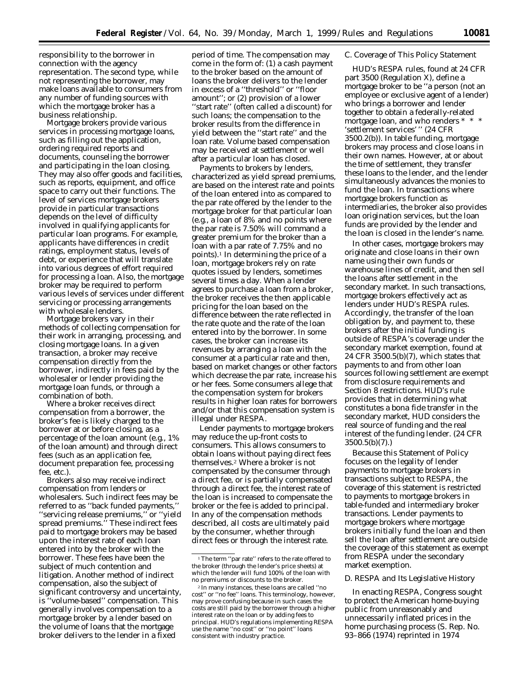responsibility to the borrower in connection with the agency representation. The second type, while not representing the borrower, may make loans available to consumers from any number of funding sources with which the mortgage broker has a business relationship.

Mortgage brokers provide various services in processing mortgage loans, such as filling out the application, ordering required reports and documents, counseling the borrower and participating in the loan closing. They may also offer goods and facilities, such as reports, equipment, and office space to carry out their functions. The level of services mortgage brokers provide in particular transactions depends on the level of difficulty involved in qualifying applicants for particular loan programs. For example, applicants have differences in credit ratings, employment status, levels of debt, or experience that will translate into various degrees of effort required for processing a loan. Also, the mortgage broker may be required to perform various levels of services under different servicing or processing arrangements with wholesale lenders.

Mortgage brokers vary in their methods of collecting compensation for their work in arranging, processing, and closing mortgage loans. In a given transaction, a broker may receive compensation directly from the borrower, indirectly in fees paid by the wholesaler or lender providing the mortgage loan funds, or through a combination of both.

Where a broker receives direct compensation from a borrower, the broker's fee is likely charged to the borrower at or before closing, as a percentage of the loan amount (e.g., 1% of the loan amount) and through direct fees (such as an application fee, document preparation fee, processing fee, etc.).

Brokers also may receive indirect compensation from lenders or wholesalers. Such indirect fees may be referred to as ''back funded payments,'' ''servicing release premiums,'' or ''yield spread premiums.'' These indirect fees paid to mortgage brokers may be based upon the interest rate of each loan entered into by the broker with the borrower. These fees have been the subject of much contention and litigation. Another method of indirect compensation, also the subject of significant controversy and uncertainty, is ''volume-based'' compensation. This generally involves compensation to a mortgage broker by a lender based on the volume of loans that the mortgage broker delivers to the lender in a fixed

period of time. The compensation may come in the form of: (1) a cash payment to the broker based on the amount of loans the broker delivers to the lender in excess of a ''threshold'' or ''floor amount''; or (2) provision of a lower ''start rate'' (often called a discount) for such loans; the compensation to the broker results from the difference in yield between the ''start rate'' and the loan rate. Volume based compensation may be received at settlement or well after a particular loan has closed.

Payments to brokers by lenders, characterized as yield spread premiums, are based on the interest rate and points of the loan entered into as compared to the par rate offered by the lender to the mortgage broker for that particular loan (e.g., a loan of 8% and no points where the par rate is 7.50% will command a greater premium for the broker than a loan with a par rate of 7.75% and no points).1 In determining the price of a loan, mortgage brokers rely on rate quotes issued by lenders, sometimes several times a day. When a lender agrees to purchase a loan from a broker, the broker receives the then applicable pricing for the loan based on the difference between the rate reflected in the rate quote and the rate of the loan entered into by the borrower. In some cases, the broker can increase its revenues by arranging a loan with the consumer at a particular rate and then, based on market changes or other factors which decrease the par rate, increase his or her fees. Some consumers allege that the compensation system for brokers results in higher loan rates for borrowers and/or that this compensation system is illegal under RESPA.

Lender payments to mortgage brokers may reduce the up-front costs to consumers. This allows consumers to obtain loans without paying direct fees themselves.2 Where a broker is not compensated by the consumer through a direct fee, or is partially compensated through a direct fee, the interest rate of the loan is increased to compensate the broker or the fee is added to principal. In any of the compensation methods described, all costs are ultimately paid by the consumer, whether through direct fees or through the interest rate.

## *C. Coverage of This Policy Statement*

HUD's RESPA rules, found at 24 CFR part 3500 (Regulation X), define a mortgage broker to be ''a person (not an employee or exclusive agent of a lender) who brings a borrower and lender together to obtain a federally-related mortgage loan, and who renders \* \* \* 'settlement services' '' (24 CFR 3500.2(b)). In table funding, mortgage brokers may process and close loans in their own names. However, at or about the time of settlement, they transfer these loans to the lender, and the lender simultaneously advances the monies to fund the loan. In transactions where mortgage brokers function as intermediaries, the broker also provides loan origination services, but the loan funds are provided by the lender and the loan is closed in the lender's name.

In other cases, mortgage brokers may originate and close loans in their own name using their own funds or warehouse lines of credit, and then sell the loans after settlement in the secondary market. In such transactions, mortgage brokers effectively act as lenders under HUD's RESPA rules. Accordingly, the transfer of the loan obligation by, and payment to, these brokers after the initial funding is outside of RESPA's coverage under the secondary market exemption, found at 24 CFR 3500.5(b)(7), which states that payments to and from other loan sources following settlement are exempt from disclosure requirements and Section 8 restrictions. HUD's rule provides that in determining what constitutes a *bona fide* transfer in the secondary market, HUD considers the real source of funding and the real interest of the funding lender. (24 CFR 3500.5(b)(7).)

Because this Statement of Policy focuses on the legality of lender payments to mortgage brokers in transactions subject to RESPA, the coverage of this statement is restricted to payments to mortgage brokers in table-funded and intermediary broker transactions. Lender payments to mortgage brokers where mortgage brokers initially fund the loan and then sell the loan after settlement are outside the coverage of this statement as exempt from RESPA under the secondary market exemption.

#### *D. RESPA and Its Legislative History*

In enacting RESPA, Congress sought to protect the American home-buying public from unreasonably and unnecessarily inflated prices in the home purchasing process (S. Rep. No. 93–866 (1974) *reprinted in* 1974

<sup>1</sup>The term ''par rate'' refers to the rate offered to the broker (through the lender's price sheets) at which the lender will fund 100% of the loan with no premiums or discounts to the broker.

<sup>2</sup> In many instances, these loans are called ''no cost'' or ''no fee'' loans. This terminology, however, may prove confusing because in such cases the costs are still paid by the borrower through a higher interest rate on the loan or by adding fees to principal. HUD's regulations implementing RESPA use the name ''no cost'' or ''no point'' loans consistent with industry practice.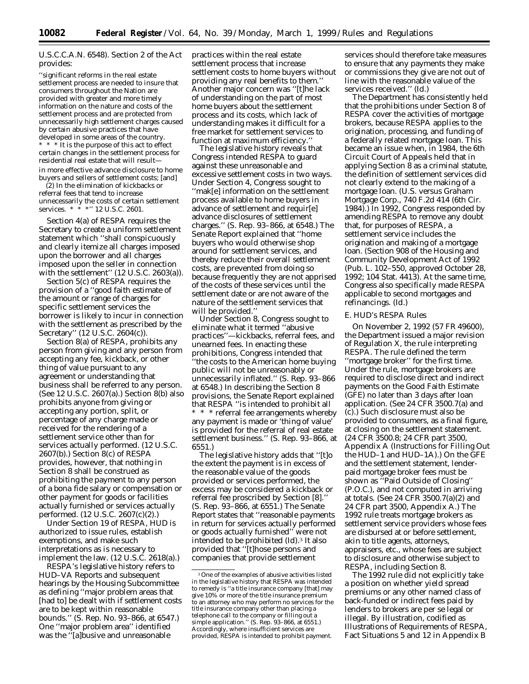# U.S.C.C.A.N. 6548). Section 2 of the Act provides:

''significant reforms in the real estate settlement process are needed to insure that consumers throughout the Nation are provided with greater and more timely information on the nature and costs of the settlement process and are protected from unnecessarily high settlement charges caused by certain abusive practices that have developed in some areas of the country. \* \* \* It is the purpose of this act to effect certain changes in the settlement process for residential real estate that will result in more effective advance disclosure to home buyers and sellers of settlement costs; [and]

(2) In the elimination of kickbacks or referral fees that tend to increase unnecessarily the costs of certain settlement services. \* \* \*'' 12 U.S.C. 2601.

Section 4(a) of RESPA requires the Secretary to create a uniform settlement statement which ''shall conspicuously and clearly itemize all charges imposed upon the borrower and all charges imposed upon the seller in connection with the settlement'' (12 U.S.C. 2603(a)).

Section 5(c) of RESPA requires the provision of a ''good faith estimate of the amount or range of charges for specific settlement services the borrower is likely to incur in connection with the settlement as prescribed by the Secretary'' (12 U.S.C. 2604(c)).

Section 8(a) of RESPA, prohibits any person from giving and any person from accepting any fee, kickback, or other thing of value pursuant to any agreement or understanding that business shall be referred to any person. (See 12 U.S.C. 2607(a).) Section 8(b) also prohibits anyone from giving or accepting any portion, split, or percentage of any charge made or received for the rendering of a settlement service other than for services actually performed. (12 U.S.C. 2607(b).) Section 8(c) of RESPA provides, however, that nothing in Section 8 shall be construed as prohibiting the payment to any person of a *bona fide* salary or compensation or other payment for goods or facilities actually furnished or services actually performed. (12 U.S.C. 2607(c)(2).)

Under Section 19 of RESPA, HUD is authorized to issue rules, establish exemptions, and make such interpretations as is necessary to implement the law. (12 U.S.C. 2618(a).)

RESPA's legislative history refers to HUD–VA Reports and subsequent hearings by the Housing Subcommittee as defining ''major problem areas that [had to] be dealt with if settlement costs are to be kept within reasonable bounds.'' (S. Rep. No. 93–866, at 6547.) One ''major problem area'' identified was the ''[a]busive and unreasonable

practices within the real estate settlement process that increase settlement costs to home buyers without providing any real benefits to them.'' Another major concern was ''[t]he lack of understanding on the part of most home buyers about the settlement process and its costs, which lack of understanding makes it difficult for a free market for settlement services to function at maximum efficiency.''

The legislative history reveals that Congress intended RESPA to guard against these unreasonable and excessive settlement costs in two ways. Under Section 4, Congress sought to ''mak[e] information on the settlement process available to home buyers in advance of settlement and requir[e] advance disclosures of settlement charges.'' (S. Rep. 93–866, at 6548.) The Senate Report explained that ''home buyers who would otherwise shop around for settlement services, and thereby reduce their overall settlement costs, are prevented from doing so because frequently they are not apprised of the costs of these services until the settlement date or are not aware of the nature of the settlement services that will be provided.''

Under Section 8, Congress sought to eliminate what it termed ''abusive practices''—kickbacks, referral fees, and unearned fees. In enacting these prohibitions, Congress intended that ''the costs to the American home buying public will not be unreasonably or unnecessarily inflated.'' (S. Rep. 93–866 at 6548.) In describing the Section 8 provisions, the Senate Report explained that RESPA ''is intended to prohibit all \* \* \* referral fee arrangements whereby any payment is made or 'thing of value' is provided for the referral of real estate settlement business.'' (S. Rep. 93–866, at 6551.)

The legislative history adds that ''[t]o the extent the payment is in excess of the reasonable value of the goods provided or services performed, the excess may be considered a kickback or referral fee proscribed by Section [8].'' (S. Rep. 93–866, at 6551.) The Senate Report states that ''reasonable payments in return for services actually performed or goods actually furnished'' were not intended to be prohibited (Id).3 It also provided that ''[t]hose persons and companies that provide settlement

services should therefore take measures to ensure that any payments they make or commissions they give are not out of line with the reasonable value of the services received.'' (*Id.*)

The Department has consistently held that the prohibitions under Section 8 of RESPA cover the activities of mortgage brokers, because RESPA applies to the origination, processing, and funding of a federally related mortgage loan. This became an issue when, in 1984, the 6th Circuit Court of Appeals held that in applying Section 8 as a criminal statute, the definition of settlement services did not clearly extend to the making of a mortgage loan. (*U.S.* versus *Graham Mortgage Corp.,* 740 F.2d 414 (6th Cir. 1984).) In 1992, Congress responded by amending RESPA to remove any doubt that, for purposes of RESPA, a settlement service includes the origination and making of a mortgage loan. (Section 908 of the Housing and Community Development Act of 1992 (Pub. L. 102–550, approved October 28, 1992; 104 Stat. 4413). At the same time, Congress also specifically made RESPA applicable to second mortgages and refinancings. (*Id.*)

#### *E. HUD's RESPA Rules*

On November 2, 1992 (57 FR 49600), the Department issued a major revision of Regulation X, the rule interpreting RESPA. The rule defined the term ''mortgage broker'' for the first time. Under the rule, mortgage brokers are required to disclose direct and indirect payments on the Good Faith Estimate (GFE) no later than 3 days after loan application. (See 24 CFR 3500.7(a) and (c).) Such disclosure must also be provided to consumers, as a final figure, at closing on the settlement statement. (24 CFR 3500.8; 24 CFR part 3500, Appendix A (Instructions for Filling Out the HUD–1 and HUD–1A).) On the GFE and the settlement statement, lenderpaid mortgage broker fees must be shown as ''Paid Outside of Closing'' (P.O.C.), and not computed in arriving at totals. (See 24 CFR 3500.7(a)(2) and 24 CFR part 3500, Appendix A.) The 1992 rule treats mortgage brokers as settlement service providers whose fees are disbursed at or before settlement, akin to title agents, attorneys, appraisers, etc., whose fees are subject to disclosure and otherwise subject to RESPA, including Section 8.

The 1992 rule did not explicitly take a position on whether yield spread premiums or any other named class of back-funded or indirect fees paid by lenders to brokers are *per se* legal or illegal. By illustration, codified as Illustrations of Requirements of RESPA, Fact Situations 5 and 12 in Appendix B

<sup>3</sup>One of the examples of abusive activities listed in the legislative history that RESPA was intended to remedy is ''a title insurance company [that] may give 10% or more of the title insurance premium to an attorney who may perform no services for the title insurance company other than placing a telephone call to the company or filling out a simple application.'' (S. Rep. 93–866, at 6551.) Accordingly, where insufficient services are provided, RESPA is intended to prohibit payment.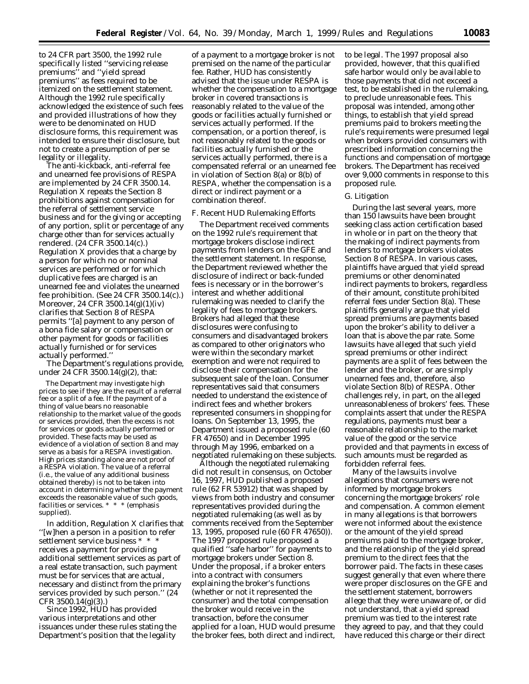to 24 CFR part 3500, the 1992 rule specifically listed ''servicing release premiums'' and ''yield spread premiums'' as fees required to be itemized on the settlement statement. Although the 1992 rule specifically acknowledged the existence of such fees and provided illustrations of how they were to be denominated on HUD disclosure forms, this requirement was intended to ensure their disclosure, but not to create a presumption of *per se* legality or illegality.

The anti-kickback, anti-referral fee and unearned fee provisions of RESPA are implemented by 24 CFR 3500.14. Regulation X repeats the Section 8 prohibitions against compensation for the referral of settlement service business and for the giving or accepting of any portion, split or percentage of any charge other than for services actually rendered. (24 CFR 3500.14(c).) Regulation X provides that a charge by a person for which no or nominal services are performed or for which duplicative fees are charged is an unearned fee and violates the unearned fee prohibition. (See 24 CFR 3500.14(c).) Moreover, 24 CFR 3500.14(g)(1)(iv) clarifies that Section 8 of RESPA permits ''[a] payment to any person of a *bona fide* salary or compensation or other payment for goods or facilities actually furnished or for services actually performed.''

The Department's regulations provide, under 24 CFR 3500.14(g)(2), that:

The Department may investigate high prices to see if they are the result of a referral fee or a split of a fee. *If the payment of a thing of value bears no reasonable relationship to the market value of the goods or services provided, then the excess is not for services or goods actually performed or provided.* These facts may be used as evidence of a violation of section 8 and may serve as a basis for a RESPA investigation. High prices standing alone are not proof of a RESPA violation. The value of a referral (i.e., the value of any additional business obtained thereby) is not to be taken into account in determining whether the payment exceeds the reasonable value of such goods, facilities or services. \* \* \* (emphasis supplied).

In addition, Regulation X clarifies that ''[w]hen a person in a position to refer settlement service business \* \* \* receives a payment for providing additional settlement services as part of a real estate transaction, such payment must be for services that are actual, necessary and distinct from the primary services provided by such person.'' (24  $CFR 3500.14(g)(3)$ .

Since 1992, HUD has provided various interpretations and other issuances under these rules stating the Department's position that the legality

of a payment to a mortgage broker is not premised on the name of the particular fee. Rather, HUD has consistently advised that the issue under RESPA is whether the compensation to a mortgage broker in covered transactions is reasonably related to the value of the goods or facilities actually furnished or services actually performed. If the compensation, or a portion thereof, is not reasonably related to the goods or facilities actually furnished or the services actually performed, there is a compensated referral or an unearned fee in violation of Section 8(a) or 8(b) of RESPA, whether the compensation is a direct or indirect payment or a combination thereof.

#### *F. Recent HUD Rulemaking Efforts*

The Department received comments on the 1992 rule's requirement that mortgage brokers disclose indirect payments from lenders on the GFE and the settlement statement. In response, the Department reviewed whether the disclosure of indirect or back-funded fees is necessary or in the borrower's interest and whether additional rulemaking was needed to clarify the legality of fees to mortgage brokers. Brokers had alleged that these disclosures were confusing to consumers and disadvantaged brokers as compared to other originators who were within the secondary market exemption and were not required to disclose their compensation for the subsequent sale of the loan. Consumer representatives said that consumers needed to understand the existence of indirect fees and whether brokers represented consumers in shopping for loans. On September 13, 1995, the Department issued a proposed rule (60 FR 47650) and in December 1995 through May 1996, embarked on a negotiated rulemaking on these subjects.

Although the negotiated rulemaking did not result in consensus, on October 16, 1997, HUD published a proposed rule (62 FR 53912) that was shaped by views from both industry and consumer representatives provided during the negotiated rulemaking (as well as by comments received from the September 13, 1995, proposed rule (60 FR 47650)). The 1997 proposed rule proposed a qualified ''safe harbor'' for payments to mortgage brokers under Section 8. Under the proposal, if a broker enters into a contract with consumers explaining the broker's functions (whether or not it represented the consumer) and the total compensation the broker would receive in the transaction, before the consumer applied for a loan, HUD would presume the broker fees, both direct and indirect,

to be legal. The 1997 proposal also provided, however, that this qualified safe harbor would only be available to those payments that did not exceed a test, to be established in the rulemaking, to preclude unreasonable fees. This proposal was intended, among other things, to establish that yield spread premiums paid to brokers meeting the rule's requirements were presumed legal when brokers provided consumers with prescribed information concerning the functions and compensation of mortgage brokers. The Department has received over 9,000 comments in response to this proposed rule.

#### *G. Litigation*

During the last several years, more than 150 lawsuits have been brought seeking class action certification based in whole or in part on the theory that the making of indirect payments from lenders to mortgage brokers violates Section 8 of RESPA. In various cases, plaintiffs have argued that yield spread premiums or other denominated indirect payments to brokers, regardless of their amount, constitute prohibited referral fees under Section 8(a). These plaintiffs generally argue that yield spread premiums are payments based upon the broker's ability to deliver a loan that is above the par rate. Some lawsuits have alleged that such yield spread premiums or other indirect payments are a split of fees between the lender and the broker, or are simply unearned fees and, therefore, also violate Section 8(b) of RESPA. Other challenges rely, in part, on the alleged unreasonableness of brokers' fees. These complaints assert that under the RESPA regulations, payments must bear a reasonable relationship to the market value of the good or the service provided and that payments in excess of such amounts must be regarded as forbidden referral fees.

Many of the lawsuits involve allegations that consumers were not informed by mortgage brokers concerning the mortgage brokers' role and compensation. A common element in many allegations is that borrowers were not informed about the existence or the amount of the yield spread premiums paid to the mortgage broker, and the relationship of the yield spread premium to the direct fees that the borrower paid. The facts in these cases suggest generally that even where there were proper disclosures on the GFE and the settlement statement, borrowers allege that they were unaware of, or did not understand, that a yield spread premium was tied to the interest rate they agreed to pay, and that they could have reduced this charge or their direct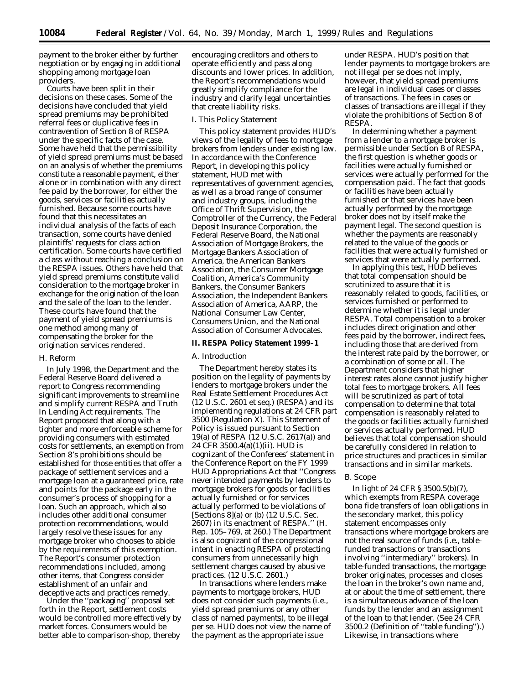payment to the broker either by further negotiation or by engaging in additional shopping among mortgage loan providers.

Courts have been split in their decisions on these cases. Some of the decisions have concluded that yield spread premiums may be prohibited referral fees or duplicative fees in contravention of Section 8 of RESPA under the specific facts of the case. Some have held that the permissibility of yield spread premiums must be based on an analysis of whether the premiums constitute a reasonable payment, either alone or in combination with any direct fee paid by the borrower, for either the goods, services or facilities actually furnished. Because some courts have found that this necessitates an individual analysis of the facts of each transaction, some courts have denied plaintiffs' requests for class action certification. Some courts have certified a class without reaching a conclusion on the RESPA issues. Others have held that yield spread premiums constitute valid consideration to the mortgage broker in exchange for the origination of the loan and the sale of the loan to the lender. These courts have found that the payment of yield spread premiums is one method among many of compensating the broker for the origination services rendered.

### *H. Reform*

In July 1998, the Department and the Federal Reserve Board delivered a report to Congress recommending significant improvements to streamline and simplify current RESPA and Truth In Lending Act requirements. The Report proposed that along with a tighter and more enforceable scheme for providing consumers with estimated costs for settlements, an exemption from Section 8's prohibitions should be established for those entities that offer a package of settlement services and a mortgage loan at a guaranteed price, rate and points for the package early in the consumer's process of shopping for a loan. Such an approach, which also includes other additional consumer protection recommendations, would largely resolve these issues for any mortgage broker who chooses to abide by the requirements of this exemption. The Report's consumer protection recommendations included, among other items, that Congress consider establishment of an unfair and deceptive acts and practices remedy.

Under the ''packaging'' proposal set forth in the Report, settlement costs would be controlled more effectively by market forces. Consumers would be better able to comparison-shop, thereby

encouraging creditors and others to operate efficiently and pass along discounts and lower prices. In addition, the Report's recommendations would greatly simplify compliance for the industry and clarify legal uncertainties that create liability risks.

#### *I. This Policy Statement*

This policy statement provides HUD's views of the legality of fees to mortgage brokers from lenders under existing law. In accordance with the Conference Report, in developing this policy statement, HUD met with representatives of government agencies, as well as a broad range of consumer and industry groups, including the Office of Thrift Supervision, the Comptroller of the Currency, the Federal Deposit Insurance Corporation, the Federal Reserve Board, the National Association of Mortgage Brokers, the Mortgage Bankers Association of America, the American Bankers Association, the Consumer Mortgage Coalition, America's Community Bankers, the Consumer Bankers Association, the Independent Bankers Association of America, AARP, the National Consumer Law Center, Consumers Union, and the National Association of Consumer Advocates.

#### **II. RESPA Policy Statement 1999–1**

#### *A. Introduction*

The Department hereby states its position on the legality of payments by lenders to mortgage brokers under the Real Estate Settlement Procedures Act (12 U.S.C. 2601 *et seq.*) (RESPA) and its implementing regulations at 24 CFR part 3500 (Regulation X). This Statement of Policy is issued pursuant to Section 19(a) of RESPA (12 U.S.C. 2617(a)) and 24 CFR 3500.4(a)(1)(ii). HUD is cognizant of the Conferees' statement in the Conference Report on the FY 1999 HUD Appropriations Act that ''Congress never intended payments by lenders to mortgage brokers for goods or facilities actually furnished or for services actually performed to be violations of [Sections  $8$ ](a) or (b) (12 U.S.C. Sec. 2607) in its enactment of RESPA.'' (H. Rep. 105–769, at 260.) The Department is also cognizant of the congressional intent in enacting RESPA of protecting consumers from unnecessarily high settlement charges caused by abusive practices. (12 U.S.C. 2601.)

In transactions where lenders make payments to mortgage brokers, HUD does not consider such payments (i.e., yield spread premiums or any other class of named payments), to be illegal *per se*. HUD does not view the name of the payment as the appropriate issue

under RESPA. HUD's position that lender payments to mortgage brokers are not illegal *per se* does not imply, however, that yield spread premiums are legal in individual cases or classes of transactions. The fees in cases or classes of transactions are illegal if they violate the prohibitions of Section 8 of RESPA.

In determining whether a payment from a lender to a mortgage broker is permissible under Section 8 of RESPA, the first question is whether goods or facilities were actually furnished or services were actually performed for the compensation paid. The fact that goods or facilities have been actually furnished or that services have been actually performed by the mortgage broker does not by itself make the payment legal. The second question is whether the payments are reasonably related to the value of the goods or facilities that were actually furnished or services that were actually performed.

In applying this test, HUD believes that total compensation should be scrutinized to assure that it is reasonably related to goods, facilities, or services furnished or performed to determine whether it is legal under RESPA. Total compensation to a broker includes direct origination and other fees paid by the borrower, indirect fees, including those that are derived from the interest rate paid by the borrower, or a combination of some or all. The Department considers that higher interest rates alone cannot justify higher total fees to mortgage brokers. All fees will be scrutinized as part of total compensation to determine that total compensation is reasonably related to the goods or facilities actually furnished or services actually performed. HUD believes that total compensation should be carefully considered in relation to price structures and practices in similar transactions and in similar markets.

#### *B. Scope*

In light of 24 CFR § 3500.5(b)(7), which exempts from RESPA coverage *bona fide* transfers of loan obligations in the secondary market, this policy statement encompasses only transactions where mortgage brokers are not the real source of funds (i.e., tablefunded transactions or transactions involving ''intermediary'' brokers). In table-funded transactions, the mortgage broker originates, processes and closes the loan in the broker's own name and, at or about the time of settlement, there is a simultaneous advance of the loan funds by the lender and an assignment of the loan to that lender. (See 24 CFR 3500.2 (Definition of ''table funding'').) Likewise, in transactions where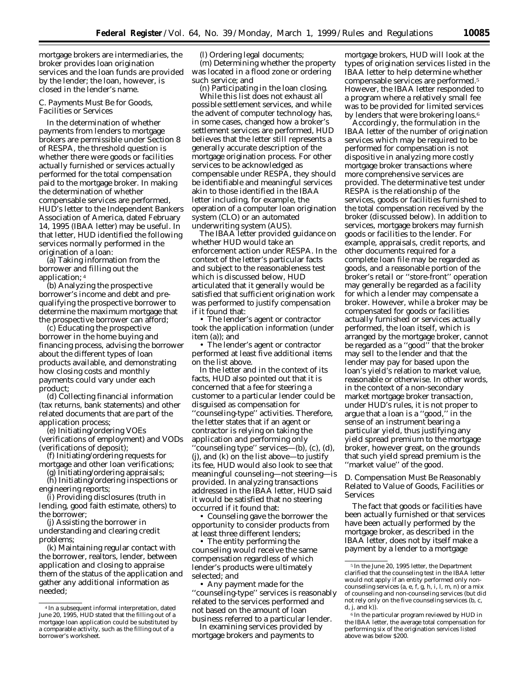mortgage brokers are intermediaries, the broker provides loan origination services and the loan funds are provided by the lender; the loan, however, is closed in the lender's name.

## *C. Payments Must Be for Goods, Facilities or Services*

In the determination of whether payments from lenders to mortgage brokers are permissible under Section 8 of RESPA, the threshold question is whether there were goods or facilities actually furnished or services actually performed for the total compensation paid to the mortgage broker. In making the determination of whether compensable services are performed, HUD's letter to the Independent Bankers Association of America, dated February 14, 1995 (IBAA letter) may be useful. In that letter, HUD identified the following services normally performed in the origination of a loan:

(a) Taking information from the borrower and filling out the application; 4

(b) Analyzing the prospective borrower's income and debt and prequalifying the prospective borrower to determine the maximum mortgage that the prospective borrower can afford;

(c) Educating the prospective borrower in the home buying and financing process, advising the borrower about the different types of loan products available, and demonstrating how closing costs and monthly payments could vary under each product;

(d) Collecting financial information (tax returns, bank statements) and other related documents that are part of the application process;

(e) Initiating/ordering VOEs (verifications of employment) and VODs (verifications of deposit);

(f) Initiating/ordering requests for

mortgage and other loan verifications; (g) Initiating/ordering appraisals;

(h) Initiating/ordering inspections or engineering reports;

(i) Providing disclosures (truth in lending, good faith estimate, others) to the borrower;

(j) Assisting the borrower in understanding and clearing credit problems;

(k) Maintaining regular contact with the borrower, realtors, lender, between application and closing to appraise them of the status of the application and gather any additional information as needed;

(l) Ordering legal documents; (m) Determining whether the property was located in a flood zone or ordering such service; and

(n) Participating in the loan closing. While this list does not exhaust all possible settlement services, and while the advent of computer technology has, in some cases, changed how a broker's settlement services are performed, HUD believes that the letter still represents a generally accurate description of the mortgage origination process. For other services to be acknowledged as compensable under RESPA, they should be identifiable and meaningful services akin to those identified in the IBAA letter including, for example, the operation of a computer loan origination system (CLO) or an automated underwriting system (AUS).

The IBAA letter provided guidance on whether HUD would take an enforcement action under RESPA. In the context of the letter's particular facts and subject to the reasonableness test which is discussed below, HUD articulated that it generally would be satisfied that sufficient origination work was performed to justify compensation if it found that:

• The lender's agent or contractor took the application information (under item (a)); and

• The lender's agent or contractor performed at least five additional items on the list above.

In the letter and in the context of its facts, HUD also pointed out that it is concerned that a fee for steering a customer to a particular lender could be disguised as compensation for ''counseling-type'' activities. Therefore, the letter states that if an agent or contractor is relying on taking the application and performing only ''counseling type'' services—(b), (c), (d), (j), and (k) on the list above—to justify its fee, HUD would also look to see that meaningful counseling—not steering—is provided. In analyzing transactions addressed in the IBAA letter, HUD said it would be satisfied that no steering occurred if it found that:

• Counseling gave the borrower the opportunity to consider products from at least three different lenders;

• The entity performing the counseling would receive the same compensation regardless of which lender's products were ultimately selected; *and*

• Any payment made for the ''counseling-type'' services is reasonably related to the services performed and not based on the amount of loan business referred to a particular lender.

In examining services provided by mortgage brokers and payments to

mortgage brokers, HUD will look at the types of origination services listed in the IBAA letter to help determine whether compensable services are performed.5 However, the IBAA letter responded to a program where a relatively small fee was to be provided for limited services by lenders that were brokering loans.6

Accordingly, the formulation in the IBAA letter of the number of origination services which may be required to be performed for compensation is not dispositive in analyzing more costly mortgage broker transactions where more comprehensive services are provided. The determinative test under RESPA is the relationship of the services, goods or facilities furnished to the total compensation received by the broker (discussed below). In addition to services, mortgage brokers may furnish goods or facilities to the lender. For example, appraisals, credit reports, and other documents required for a complete loan file may be regarded as goods, and a reasonable portion of the broker's retail or ''store-front'' operation may generally be regarded as a facility for which a lender may compensate a broker. However, while a broker may be compensated for goods or facilities actually furnished or services actually performed, the loan itself, which is arranged by the mortgage broker, cannot be regarded as a ''good'' that the broker may sell to the lender and that the lender may pay for based upon the loan's yield's relation to market value, reasonable or otherwise. In other words, in the context of a non-secondary market mortgage broker transaction, under HUD's rules, it is not proper to argue that a loan is a ''good,'' in the sense of an instrument bearing a particular yield, thus justifying any yield spread premium to the mortgage broker, however great, on the grounds that such yield spread premium is the ''market value'' of the good.

# *D. Compensation Must Be Reasonably Related to Value of Goods, Facilities or Services*

The fact that goods or facilities have been actually furnished or that services have been actually performed by the mortgage broker, as described in the IBAA letter, does not by itself make a payment by a lender to a mortgage

<sup>4</sup> In a subsequent informal interpretation, dated June 20, 1995, HUD stated that the filling out of a mortgage loan application could be substituted by a comparable activity, such as the filling out of a borrower's worksheet.

<sup>5</sup> In the June 20, 1995 letter, the Department clarified that the counseling test in the IBAA letter would not apply if an entity performed only noncounseling services (a, e, f, g, h, i, l, m, n) or a mix of counseling and non-counseling services (but did not rely only on the five counseling services (b, c,  $d, j, and k$ ).

<sup>6</sup> In the particular program reviewed by HUD in the IBAA letter, the average total compensation for performing six of the origination services listed above was below \$200.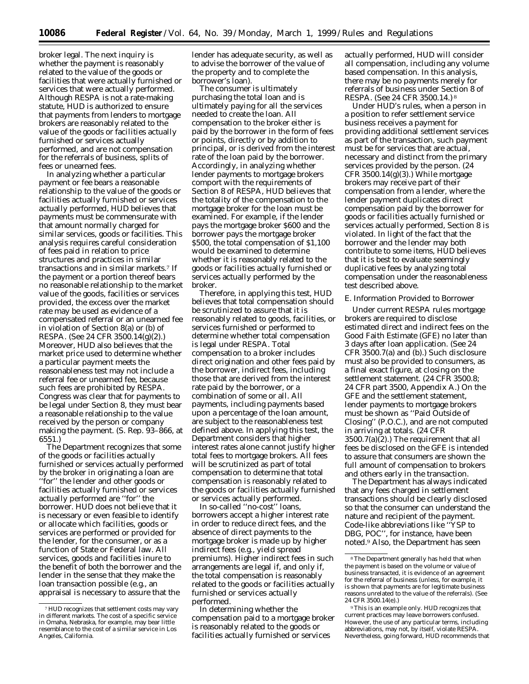broker legal. The next inquiry is whether the payment is reasonably related to the value of the goods or facilities that were actually furnished or services that were actually performed. Although RESPA is not a rate-making statute, HUD is authorized to ensure that payments from lenders to mortgage brokers are reasonably related to the value of the goods or facilities actually furnished or services actually performed, and are not compensation for the referrals of business, splits of fees or unearned fees.

In analyzing whether a particular payment or fee bears a reasonable relationship to the value of the goods or facilities actually furnished or services actually performed, HUD believes that payments must be commensurate with that amount normally charged for similar services, goods or facilities. This analysis requires careful consideration of fees paid in relation to price structures and practices in similar transactions and in similar markets.7 If the payment or a portion thereof bears no reasonable relationship to the market value of the goods, facilities or services provided, the excess over the market rate may be used as evidence of a compensated referral or an unearned fee in violation of Section 8(a) or (b) of RESPA. (See 24 CFR 3500.14(g)(2).) Moreover, HUD also believes that the market price used to determine whether a particular payment meets the reasonableness test may not include a referral fee or unearned fee, because such fees are prohibited by RESPA. Congress was clear that for payments to be legal under Section 8, they must bear a reasonable relationship to the value received by the person or company making the payment. (S. Rep. 93–866, at 6551.)

The Department recognizes that some of the goods or facilities actually furnished or services actually performed by the broker in originating a loan are ''for'' the lender and other goods or facilities actually furnished or services actually performed are ''for'' the borrower. HUD does not believe that it is necessary or even feasible to identify or allocate which facilities, goods or services are performed or provided for the lender, for the consumer, or as a function of State or Federal law. All services, goods and facilities inure to the benefit of both the borrower and the lender in the sense that they make the loan transaction possible (e.g., an appraisal is necessary to assure that the

lender has adequate security, as well as to advise the borrower of the value of the property and to complete the borrower's loan).

The consumer is ultimately purchasing the total loan and is ultimately paying for all the services needed to create the loan. All compensation to the broker either is paid by the borrower in the form of fees or points, directly or by addition to principal, or is derived from the interest rate of the loan paid by the borrower. Accordingly, in analyzing whether lender payments to mortgage brokers comport with the requirements of Section 8 of RESPA, HUD believes that the totality of the compensation to the mortgage broker for the loan must be examined. For example, if the lender pays the mortgage broker \$600 and the borrower pays the mortgage broker \$500, the total compensation of \$1,100 would be examined to determine whether it is reasonably related to the goods or facilities actually furnished or services actually performed by the broker.

Therefore, in applying this test, HUD believes that total compensation should be scrutinized to assure that it is reasonably related to goods, facilities, or services furnished or performed to determine whether total compensation is legal under RESPA. Total compensation to a broker includes direct origination and other fees paid by the borrower, indirect fees, including those that are derived from the interest rate paid by the borrower, or a combination of some or all. All payments, including payments based upon a percentage of the loan amount, are subject to the reasonableness test defined above. In applying this test, the Department considers that higher interest rates alone cannot justify higher total fees to mortgage brokers. All fees will be scrutinized as part of total compensation to determine that total compensation is reasonably related to the goods or facilities actually furnished or services actually performed.

In so-called ''no-cost'' loans, borrowers accept a higher interest rate in order to reduce direct fees, and the absence of direct payments to the mortgage broker is made up by higher indirect fees (e.g., yield spread premiums). Higher indirect fees in such arrangements are legal if, and only if, the total compensation is reasonably related to the goods or facilities actually furnished or services actually performed.

In determining whether the compensation paid to a mortgage broker is reasonably related to the goods or facilities actually furnished or services

actually performed, HUD will consider all compensation, including any volume based compensation. In this analysis, there may be no payments merely for referrals of business under Section 8 of RESPA. (See 24 CFR 3500.14.) 8

Under HUD's rules, when a person in a position to refer settlement service business receives a payment for providing additional settlement services as part of the transaction, such payment must be for services that are actual, necessary and distinct from the primary services provided by the person. (24 CFR 3500.14 $(g)(3)$ .) While mortgage brokers may receive part of their compensation from a lender, where the lender payment duplicates direct compensation paid by the borrower for goods or facilities actually furnished or services actually performed, Section 8 is violated. In light of the fact that the borrower and the lender may both contribute to some items, HUD believes that it is best to evaluate seemingly duplicative fees by analyzing total compensation under the reasonableness test described above.

### *E. Information Provided to Borrower*

Under current RESPA rules mortgage brokers are required to disclose estimated direct and indirect fees on the Good Faith Estimate (GFE) no later than 3 days after loan application. (See 24 CFR 3500.7(a) and (b).) Such disclosure must also be provided to consumers, as a final exact figure, at closing on the settlement statement. (24 CFR 3500.8; 24 CFR part 3500, Appendix A.) On the GFE and the settlement statement, lender payments to mortgage brokers must be shown as ''Paid Outside of Closing'' (P.O.C.), and are not computed in arriving at totals. (24 CFR 3500.7(a)(2).) The requirement that all fees be disclosed on the GFE is intended to assure that consumers are shown the full amount of compensation to brokers and others early in the transaction.

The Department has always indicated that any fees charged in settlement transactions should be clearly disclosed so that the consumer can understand the nature and recipient of the payment. Code-like abbreviations like ''YSP to DBG, POC'', for instance, have been noted.9 Also, the Department has seen

<sup>7</sup>HUD recognizes that settlement costs may vary in different markets. The cost of a specific service in Omaha, Nebraska, for example, may bear little resemblance to the cost of a similar service in Los Angeles, California.

<sup>8</sup>The Department generally has held that when the payment is based on the volume or value of business transacted, it is evidence of an agreement for the referral of business (unless, for example, it is shown that payments are for legitimate business reasons unrelated to the value of the referrals). (See 24 CFR 3500.14(e).)

<sup>9</sup>This is an example only. HUD recognizes that current practices may leave borrowers confused. However, the use of any particular terms, including abbreviations, may not, by itself, violate RESPA. Nevertheless, going forward, HUD recommends that